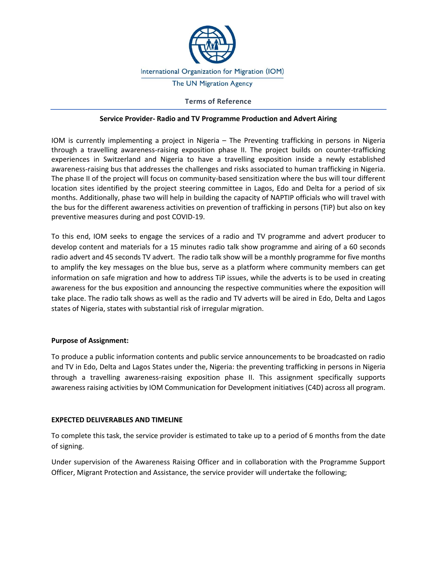

## **Terms of Reference**

#### **Service Provider- Radio and TV Programme Production and Advert Airing**

IOM is currently implementing a project in Nigeria – The Preventing trafficking in persons in Nigeria through a travelling awareness-raising exposition phase II. The project builds on counter-trafficking experiences in Switzerland and Nigeria to have a travelling exposition inside a newly established awareness-raising bus that addresses the challenges and risks associated to human trafficking in Nigeria. The phase II of the project will focus on community-based sensitization where the bus will tour different location sites identified by the project steering committee in Lagos, Edo and Delta for a period of six months. Additionally, phase two will help in building the capacity of NAPTIP officials who will travel with the bus for the different awareness activities on prevention of trafficking in persons (TiP) but also on key preventive measures during and post COVID-19.

To this end, IOM seeks to engage the services of a radio and TV programme and advert producer to develop content and materials for a 15 minutes radio talk show programme and airing of a 60 seconds radio advert and 45 seconds TV advert. The radio talk show will be a monthly programme for five months to amplify the key messages on the blue bus, serve as a platform where community members can get information on safe migration and how to address TiP issues, while the adverts is to be used in creating awareness for the bus exposition and announcing the respective communities where the exposition will take place. The radio talk shows as well as the radio and TV adverts will be aired in Edo, Delta and Lagos states of Nigeria, states with substantial risk of irregular migration.

## **Purpose of Assignment:**

To produce a public information contents and public service announcements to be broadcasted on radio and TV in Edo, Delta and Lagos States under the, Nigeria: the preventing trafficking in persons in Nigeria through a travelling awareness-raising exposition phase II. This assignment specifically supports awareness raising activities by IOM Communication for Development initiatives (C4D) across all program.

#### **EXPECTED DELIVERABLES AND TIMELINE**

To complete this task, the service provider is estimated to take up to a period of 6 months from the date of signing.

Under supervision of the Awareness Raising Officer and in collaboration with the Programme Support Officer, Migrant Protection and Assistance, the service provider will undertake the following;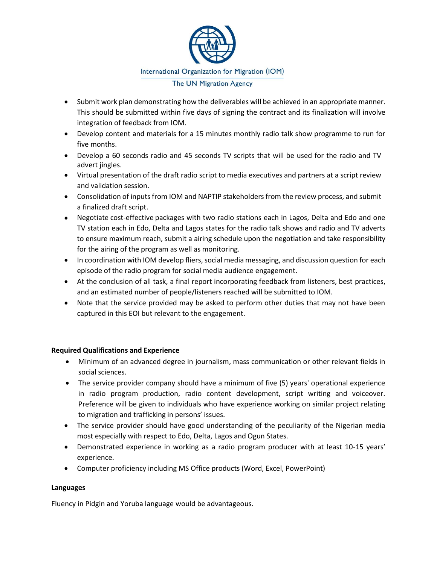

- Submit work plan demonstrating how the deliverables will be achieved in an appropriate manner. This should be submitted within five days of signing the contract and its finalization will involve integration of feedback from IOM.
- Develop content and materials for a 15 minutes monthly radio talk show programme to run for five months.
- Develop a 60 seconds radio and 45 seconds TV scripts that will be used for the radio and TV advert jingles.
- Virtual presentation of the draft radio script to media executives and partners at a script review and validation session.
- Consolidation of inputs from IOM and NAPTIP stakeholders from the review process, and submit a finalized draft script.
- Negotiate cost-effective packages with two radio stations each in Lagos, Delta and Edo and one TV station each in Edo, Delta and Lagos states for the radio talk shows and radio and TV adverts to ensure maximum reach, submit a airing schedule upon the negotiation and take responsibility for the airing of the program as well as monitoring.
- In coordination with IOM develop fliers, social media messaging, and discussion question for each episode of the radio program for social media audience engagement.
- At the conclusion of all task, a final report incorporating feedback from listeners, best practices, and an estimated number of people/listeners reached will be submitted to IOM.
- Note that the service provided may be asked to perform other duties that may not have been captured in this EOI but relevant to the engagement.

# **Required Qualifications and Experience**

- Minimum of an advanced degree in journalism, mass communication or other relevant fields in social sciences.
- The service provider company should have a minimum of five (5) years' operational experience in radio program production, radio content development, script writing and voiceover. Preference will be given to individuals who have experience working on similar project relating to migration and trafficking in persons' issues.
- The service provider should have good understanding of the peculiarity of the Nigerian media most especially with respect to Edo, Delta, Lagos and Ogun States.
- Demonstrated experience in working as a radio program producer with at least 10-15 years' experience.
- Computer proficiency including MS Office products (Word, Excel, PowerPoint)

# **Languages**

Fluency in Pidgin and Yoruba language would be advantageous.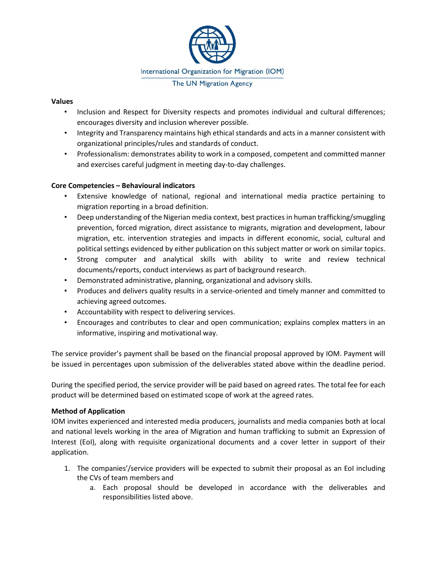

## **Values**

- Inclusion and Respect for Diversity respects and promotes individual and cultural differences; encourages diversity and inclusion wherever possible.
- Integrity and Transparency maintains high ethical standards and acts in a manner consistent with organizational principles/rules and standards of conduct.
- Professionalism: demonstrates ability to work in a composed, competent and committed manner and exercises careful judgment in meeting day-to-day challenges.

# **Core Competencies – Behavioural indicators**

- Extensive knowledge of national, regional and international media practice pertaining to migration reporting in a broad definition.
- Deep understanding of the Nigerian media context, best practices in human trafficking/smuggling prevention, forced migration, direct assistance to migrants, migration and development, labour migration, etc. intervention strategies and impacts in different economic, social, cultural and political settings evidenced by either publication on this subject matter or work on similar topics.
- Strong computer and analytical skills with ability to write and review technical documents/reports, conduct interviews as part of background research.
- Demonstrated administrative, planning, organizational and advisory skills.
- Produces and delivers quality results in a service-oriented and timely manner and committed to achieving agreed outcomes.
- Accountability with respect to delivering services.
- Encourages and contributes to clear and open communication; explains complex matters in an informative, inspiring and motivational way.

The service provider's payment shall be based on the financial proposal approved by IOM. Payment will be issued in percentages upon submission of the deliverables stated above within the deadline period.

During the specified period, the service provider will be paid based on agreed rates. The total fee for each product will be determined based on estimated scope of work at the agreed rates.

# **Method of Application**

IOM invites experienced and interested media producers, journalists and media companies both at local and national levels working in the area of Migration and human trafficking to submit an Expression of Interest (EoI), along with requisite organizational documents and a cover letter in support of their application.

- 1. The companies'/service providers will be expected to submit their proposal as an EoI including the CVs of team members and
	- a. Each proposal should be developed in accordance with the deliverables and responsibilities listed above.